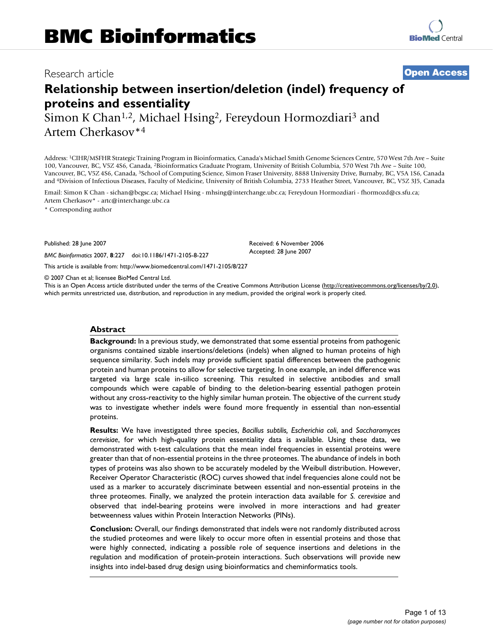## Research article **[Open Access](http://www.biomedcentral.com/info/about/charter/)**

# **Relationship between insertion/deletion (indel) frequency of proteins and essentiality**

Simon K Chan<sup>1,2</sup>, Michael Hsing<sup>2</sup>, Fereydoun Hormozdiari<sup>3</sup> and Artem Cherkasov\*4

Address: 1CIHR/MSFHR Strategic Training Program in Bioinformatics, Canada's Michael Smith Genome Sciences Centre, 570 West 7th Ave – Suite 100, Vancouver, BC, V5Z 4S6, Canada, 2Bioinformatics Graduate Program, University of British Columbia, 570 West 7th Ave – Suite 100, Vancouver, BC, V5Z 4S6, Canada, 3School of Computing Science, Simon Fraser University, 8888 University Drive, Burnaby, BC, V5A 1S6, Canada and 4Division of Infectious Diseases, Faculty of Medicine, University of British Columbia, 2733 Heather Street, Vancouver, BC, V5Z 3J5, Canada

Email: Simon K Chan - sichan@bcgsc.ca; Michael Hsing - mhsing@interchange.ubc.ca; Fereydoun Hormozdiari - fhormozd@cs.sfu.ca; Artem Cherkasov\* - artc@interchange.ubc.ca

\* Corresponding author

Published: 28 June 2007

*BMC Bioinformatics* 2007, **8**:227 doi:10.1186/1471-2105-8-227

[This article is available from: http://www.biomedcentral.com/1471-2105/8/227](http://www.biomedcentral.com/1471-2105/8/227)

© 2007 Chan et al; licensee BioMed Central Ltd.

This is an Open Access article distributed under the terms of the Creative Commons Attribution License [\(http://creativecommons.org/licenses/by/2.0\)](http://creativecommons.org/licenses/by/2.0), which permits unrestricted use, distribution, and reproduction in any medium, provided the original work is properly cited.

Received: 6 November 2006 Accepted: 28 June 2007

#### **Abstract**

**Background:** In a previous study, we demonstrated that some essential proteins from pathogenic organisms contained sizable insertions/deletions (indels) when aligned to human proteins of high sequence similarity. Such indels may provide sufficient spatial differences between the pathogenic protein and human proteins to allow for selective targeting. In one example, an indel difference was targeted via large scale in-silico screening. This resulted in selective antibodies and small compounds which were capable of binding to the deletion-bearing essential pathogen protein without any cross-reactivity to the highly similar human protein. The objective of the current study was to investigate whether indels were found more frequently in essential than non-essential proteins.

**Results:** We have investigated three species, *Bacillus subtilis, Escherichia coli*, and *Saccharomyces cerevisiae*, for which high-quality protein essentiality data is available. Using these data, we demonstrated with t-test calculations that the mean indel frequencies in essential proteins were greater than that of non-essential proteins in the three proteomes. The abundance of indels in both types of proteins was also shown to be accurately modeled by the Weibull distribution. However, Receiver Operator Characteristic (ROC) curves showed that indel frequencies alone could not be used as a marker to accurately discriminate between essential and non-essential proteins in the three proteomes. Finally, we analyzed the protein interaction data available for *S. cerevisiae* and observed that indel-bearing proteins were involved in more interactions and had greater betweenness values within Protein Interaction Networks (PINs).

**Conclusion:** Overall, our findings demonstrated that indels were not randomly distributed across the studied proteomes and were likely to occur more often in essential proteins and those that were highly connected, indicating a possible role of sequence insertions and deletions in the regulation and modification of protein-protein interactions. Such observations will provide new insights into indel-based drug design using bioinformatics and cheminformatics tools.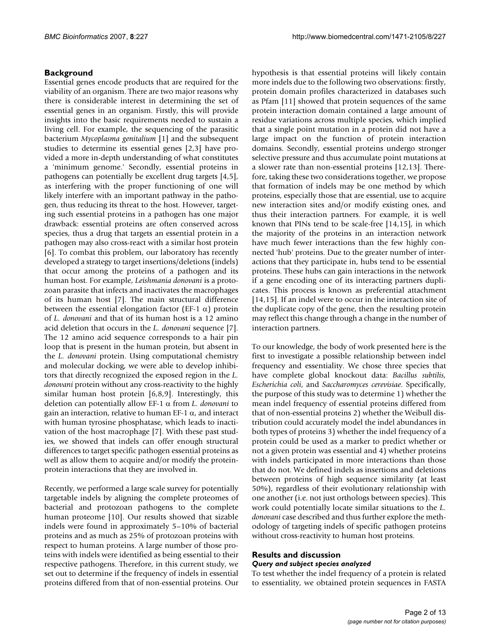#### **Background**

Essential genes encode products that are required for the viability of an organism. There are two major reasons why there is considerable interest in determining the set of essential genes in an organism. Firstly, this will provide insights into the basic requirements needed to sustain a living cell. For example, the sequencing of the parasitic bacterium *Mycoplasma genitalium* [1] and the subsequent studies to determine its essential genes [2,3] have provided a more in-depth understanding of what constitutes a 'minimum genome.' Secondly, essential proteins in pathogens can potentially be excellent drug targets [4,5], as interfering with the proper functioning of one will likely interfere with an important pathway in the pathogen, thus reducing its threat to the host. However, targeting such essential proteins in a pathogen has one major drawback: essential proteins are often conserved across species, thus a drug that targets an essential protein in a pathogen may also cross-react with a similar host protein [6]. To combat this problem, our laboratory has recently developed a strategy to target insertions/deletions (indels) that occur among the proteins of a pathogen and its human host. For example, *Leishmania donovani* is a protozoan parasite that infects and inactivates the macrophages of its human host [7]. The main structural difference between the essential elongation factor (EF-1  $\alpha$ ) protein of *L. donovani* and that of its human host is a 12 amino acid deletion that occurs in the *L. donovani* sequence [7]. The 12 amino acid sequence corresponds to a hair pin loop that is present in the human protein, but absent in the *L. donovani* protein. Using computational chemistry and molecular docking, we were able to develop inhibitors that directly recognized the exposed region in the *L. donovani* protein without any cross-reactivity to the highly similar human host protein [6,8,9]. Interestingly, this deletion can potentially allow EF-1 α from *L. donovani* to gain an interaction, relative to human EF-1  $\alpha$ , and interact with human tyrosine phosphatase, which leads to inactivation of the host macrophage [7]. With these past studies, we showed that indels can offer enough structural differences to target specific pathogen essential proteins as well as allow them to acquire and/or modify the proteinprotein interactions that they are involved in.

Recently, we performed a large scale survey for potentially targetable indels by aligning the complete proteomes of bacterial and protozoan pathogens to the complete human proteome [10]. Our results showed that sizable indels were found in approximately 5–10% of bacterial proteins and as much as 25% of protozoan proteins with respect to human proteins. A large number of those proteins with indels were identified as being essential to their respective pathogens. Therefore, in this current study, we set out to determine if the frequency of indels in essential proteins differed from that of non-essential proteins. Our

hypothesis is that essential proteins will likely contain more indels due to the following two observations: firstly, protein domain profiles characterized in databases such as Pfam [11] showed that protein sequences of the same protein interaction domain contained a large amount of residue variations across multiple species, which implied that a single point mutation in a protein did not have a large impact on the function of protein interaction domains. Secondly, essential proteins undergo stronger selective pressure and thus accumulate point mutations at a slower rate than non-essential proteins [12,13]. Therefore, taking these two considerations together, we propose that formation of indels may be one method by which proteins, especially those that are essential, use to acquire new interaction sites and/or modify existing ones, and thus their interaction partners. For example, it is well known that PINs tend to be scale-free [14,15], in which the majority of the proteins in an interaction network have much fewer interactions than the few highly connected 'hub' proteins. Due to the greater number of interactions that they participate in, hubs tend to be essential proteins. These hubs can gain interactions in the network if a gene encoding one of its interacting partners duplicates. This process is known as preferential attachment [14,15]. If an indel were to occur in the interaction site of the duplicate copy of the gene, then the resulting protein may reflect this change through a change in the number of interaction partners.

To our knowledge, the body of work presented here is the first to investigate a possible relationship between indel frequency and essentiality. We chose three species that have complete global knockout data: *Bacillus subtilis, Escherichia coli*, and *Saccharomyces cerevisiae*. Specifically, the purpose of this study was to determine 1) whether the mean indel frequency of essential proteins differed from that of non-essential proteins 2) whether the Weibull distribution could accurately model the indel abundances in both types of proteins 3) whether the indel frequency of a protein could be used as a marker to predict whether or not a given protein was essential and 4) whether proteins with indels participated in more interactions than those that do not. We defined indels as insertions and deletions between proteins of high sequence similarity (at least 50%), regardless of their evolutionary relationship with one another (i.e. not just orthologs between species). This work could potentially locate similar situations to the *L. donovani* case described and thus further explore the methodology of targeting indels of specific pathogen proteins without cross-reactivity to human host proteins.

## **Results and discussion**

## *Query and subject species analyzed*

To test whether the indel frequency of a protein is related to essentiality, we obtained protein sequences in FASTA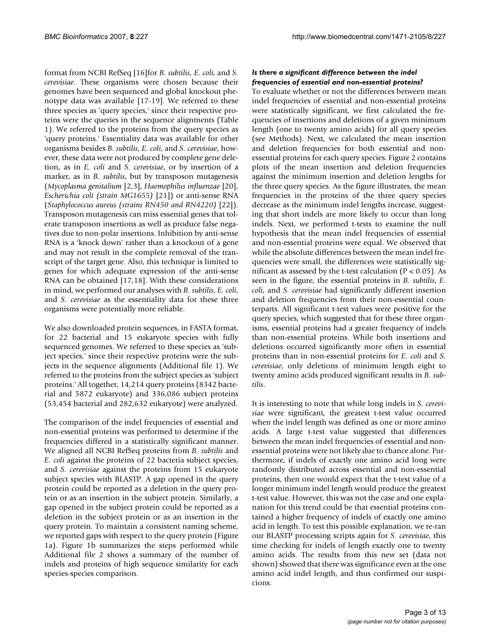format from NCBI RefSeq [16]for *B. subtilis, E. coli*, and *S. cerevisiae*. These organisms were chosen because their genomes have been sequenced and global knockout phenotype data was available [17-19]. We referred to these three species as 'query species,' since their respective proteins were the queries in the sequence alignments (Table 1). We referred to the proteins from the query species as 'query proteins.' Essentiality data was available for other organisms besides *B. subtilis*, *E. coli*, and *S. cerevisiae*, however, these data were not produced by complete gene deletion, as in *E. coli* and *S. cerevisiae*, or by insertion of a marker, as in *B. subtilis*, but by transposon mutagenesis (*Mycoplasma genitalium* [2,3], *Haemophilus influenzae* [20], *Escherichia coli (strain MG1655)* [21]) or anti-sense RNA (*Staphylococcus aureus (strains RN450 and RN4220)* [22]). Transposon mutagenesis can miss essential genes that tolerate transposon insertions as well as produce false negatives due to non-polar insertions. Inhibition by anti-sense RNA is a 'knock down' rather than a knockout of a gene and may not result in the complete removal of the transcript of the target gene. Also, this technique is limited to genes for which adequate expression of the anti-sense RNA can be obtained [17,18]. With these considerations in mind, we performed our analyses with *B. subtilis*, *E. coli*, and *S. cerevisiae* as the essentiality data for these three organisms were potentially more reliable.

We also downloaded protein sequences, in FASTA format, for 22 bacterial and 15 eukaryote species with fully sequenced genomes. We referred to these species as 'subject species,' since their respective proteins were the subjects in the sequence alignments (Additional file 1). We referred to the proteins from the subject species as 'subject proteins.' All together, 14,214 query proteins (8342 bacterial and 5872 eukaryote) and 336,086 subject proteins (53,454 bacterial and 282,632 eukaryote) were analyzed.

The comparison of the indel frequencies of essential and non-essential proteins was performed to determine if the frequencies differed in a statistically significant manner. We aligned all NCBI RefSeq proteins from *B. subtilis* and *E. coli* against the proteins of 22 bacteria subject species, and *S. cerevisiae* against the proteins from 15 eukaryote subject species with BLASTP. A gap opened in the query protein could be reported as a deletion in the query protein or as an insertion in the subject protein. Similarly, a gap opened in the subject protein could be reported as a deletion in the subject protein or as an insertion in the query protein. To maintain a consistent naming scheme, we reported gaps with respect to the query protein (Figure 1a). Figure 1b summarizes the steps performed while Additional file 2 shows a summary of the number of indels and proteins of high sequence similarity for each species-species comparison.

#### *Is there a significant difference between the indel frequencies of essential and non-essential proteins?*

To evaluate whether or not the differences between mean indel frequencies of essential and non-essential proteins were statistically significant, we first calculated the frequencies of insertions and deletions of a given minimum length (one to twenty amino acids) for all query species (see Methods). Next, we calculated the mean insertion and deletion frequencies for both essential and nonessential proteins for each query species. Figure 2 contains plots of the mean insertion and deletion frequencies against the minimum insertion and deletion lengths for the three query species. As the figure illustrates, the mean frequencies in the proteins of the three query species decrease as the minimum indel lengths increase, suggesting that short indels are more likely to occur than long indels. Next, we performed t-tests to examine the null hypothesis that the mean indel frequencies of essential and non-essential proteins were equal. We observed that while the absolute differences between the mean indel frequencies were small, the differences were statistically significant as assessed by the t-test calculation ( $P < 0.05$ ). As seen in the figure, the essential proteins in *B. subtilis*, *E. coli*, and *S. cerevisiae* had significantly different insertion and deletion frequencies from their non-essential counterparts. All significant t-test values were positive for the query species, which suggested that for these three organisms, essential proteins had a greater frequency of indels than non-essential proteins. While both insertions and deletions occurred significantly more often in essential proteins than in non-essential proteins for *E. coli* and *S. cerevisiae*, only deletions of minimum length eight to twenty amino acids produced significant results in *B. subtilis*.

It is interesting to note that while long indels in *S. cerevisiae* were significant, the greatest t-test value occurred when the indel length was defined as one or more amino acids. A large t-test value suggested that differences between the mean indel frequencies of essential and nonessential proteins were not likely due to chance alone. Furthermore, if indels of exactly one amino acid long were randomly distributed across essential and non-essential proteins, then one would expect that the t-test value of a longer minimum indel length would produce the greatest t-test value. However, this was not the case and one explanation for this trend could be that essential proteins contained a higher frequency of indels of exactly one amino acid in length. To test this possible explanation, we re-ran our BLASTP processing scripts again for *S. cerevisiae*, this time checking for indels of length exactly one to twenty amino acids. The results from this new set (data not shown) showed that there was significance even at the one amino acid indel length, and thus confirmed our suspicions.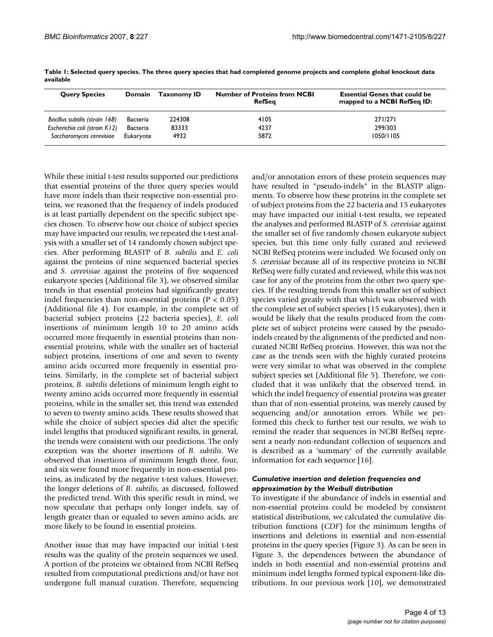| <b>Query Species</b>           | <b>Domain</b><br>Bacteria | <b>Taxonomy ID</b><br>224308 | <b>Number of Proteins from NCBI</b><br><b>RefSeq</b> | <b>Essential Genes that could be</b><br>mapped to a NCBI RefSeq ID: |  |
|--------------------------------|---------------------------|------------------------------|------------------------------------------------------|---------------------------------------------------------------------|--|
| Bacillus subtilis (strain 168) |                           |                              | 4105                                                 | 271/271                                                             |  |
| Escherichia coli (strain K12)  | Bacteria                  | 83333                        | 4237                                                 | 299/303                                                             |  |
| Saccharomyces cerevisiae       | Eukaryote                 | 4932                         | 5872                                                 | 1050/1105                                                           |  |

**Table 1: Selected query species. The three query species that had completed genome projects and complete global knockout data available**

While these initial t-test results supported our predictions that essential proteins of the three query species would have more indels than their respective non-essential proteins, we reasoned that the frequency of indels produced is at least partially dependent on the specific subject species chosen. To observe how our choice of subject species may have impacted our results, we repeated the t-test analysis with a smaller set of 14 randomly chosen subject species. After performing BLASTP of *B. subtilis* and *E. coli* against the proteins of nine sequenced bacterial species and *S. cerevisiae* against the proteins of five sequenced eukaryote species (Additional file 3), we observed similar trends in that essential proteins had significantly greater indel frequencies than non-essential proteins ( $P < 0.05$ ) (Additional file 4). For example, in the complete set of bacterial subject proteins (22 bacteria species), *E. coli* insertions of minimum length 10 to 20 amino acids occurred more frequently in essential proteins than nonessential proteins, while with the smaller set of bacterial subject proteins, insertions of one and seven to twenty amino acids occurred more frequently in essential proteins. Similarly, in the complete set of bacterial subject proteins, *B. subtilis* deletions of minimum length eight to twenty amino acids occurred more frequently in essential proteins, while in the smaller set, this trend was extended to seven to twenty amino acids. These results showed that while the choice of subject species did alter the specific indel lengths that produced significant results, in general, the trends were consistent with our predictions. The only exception was the shorter insertions of *B. subtilis*. We observed that insertions of minimum length three, four, and six were found more frequently in non-essential proteins, as indicated by the negative t-test values. However, the longer deletions of *B. subtilis*, as discussed, followed the predicted trend. With this specific result in mind, we now speculate that perhaps only longer indels, say of length greater than or equaled to seven amino acids, are more likely to be found in essential proteins.

Another issue that may have impacted our initial t-test results was the quality of the protein sequences we used. A portion of the proteins we obtained from NCBI RefSeq resulted from computational predictions and/or have not undergone full manual curation. Therefore, sequencing

and/or annotation errors of these protein sequences may have resulted in "pseudo-indels" in the BLASTP alignments. To observe how these proteins in the complete set of subject proteins from the 22 bacteria and 15 eukaryotes may have impacted our initial t-test results, we repeated the analyses and performed BLASTP of *S. cerevisiae* against the smaller set of five randomly chosen eukaryote subject species, but this time only fully curated and reviewed NCBI RefSeq proteins were included. We focused only on *S. cerevisiae* because all of its respective proteins in NCBI RefSeq were fully curated and reviewed, while this was not case for any of the proteins from the other two query species. If the resulting trends from this smaller set of subject species varied greatly with that which was observed with the complete set of subject species (15 eukaryotes), then it would be likely that the results produced from the complete set of subject proteins were caused by the pseudoindels created by the alignments of the predicted and noncurated NCBI RefSeq proteins. However, this was not the case as the trends seen with the highly curated proteins were very similar to what was observed in the complete subject species set (Additional file 5). Therefore, we concluded that it was unlikely that the observed trend, in which the indel frequency of essential proteins was greater than that of non-essential proteins, was merely caused by sequencing and/or annotation errors. While we performed this check to further test our results, we wish to remind the reader that sequences in NCBI RefSeq represent a nearly non-redundant collection of sequences and is described as a 'summary' of the currently available information for each sequence [16].

#### *Cumulative insertion and deletion frequencies and approximation by the Weibull distribution*

To investigate if the abundance of indels in essential and non-essential proteins could be modeled by consistent statistical distributions, we calculated the cumulative distribution functions (*CDF*) for the minimum lengths of insertions and deletions in essential and non-essential proteins in the query species (Figure 3). As can be seen in Figure 3, the dependences between the abundance of indels in both essential and non-essential proteins and minimum indel lengths formed typical exponent-like distributions. In our previous work [10], we demonstrated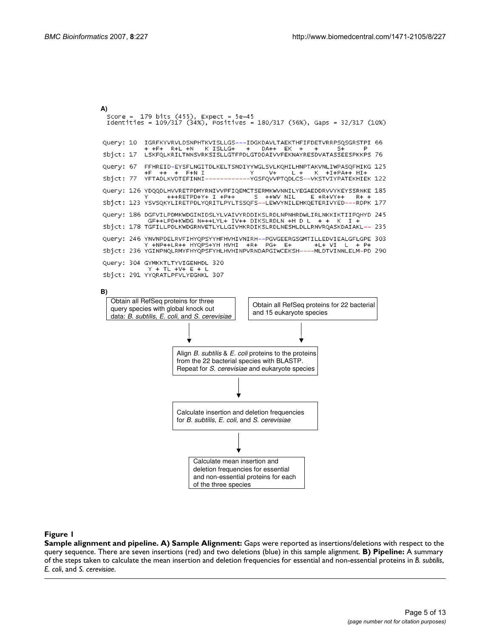

#### **Figure 1**

**Sample alignment and pipeline. A) Sample Alignment:** Gaps were reported as insertions/deletions with respect to the query sequence. There are seven insertions (red) and two deletions (blue) in this sample alignment. **B) Pipeline:** A summary of the steps taken to calculate the mean insertion and deletion frequencies for essential and non-essential proteins in *B. subtilis*, *E. coli*, and *S. cerevisiae*.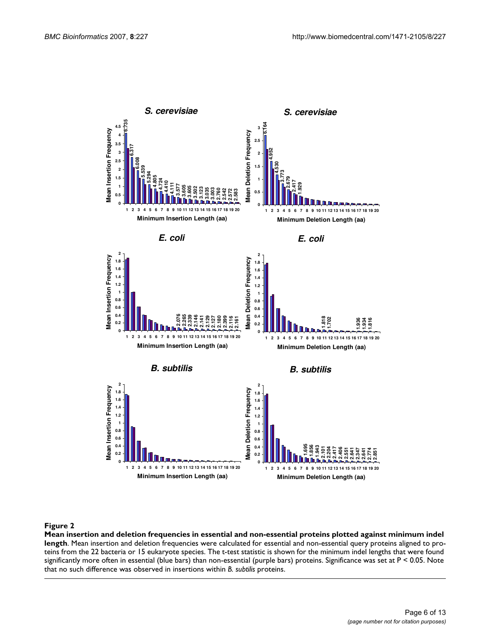

#### Mean insertion and deletion frequencie **Figure 2** s in essential and non-essential proteins plotted against minimum indel length

**Mean insertion and deletion frequencies in essential and non-essential proteins plotted against minimum indel**  length. Mean insertion and deletion frequencies were calculated for essential and non-essential query proteins aligned to proteins from the 22 bacteria or 15 eukaryote species. The t-test statistic is shown for the minimum indel lengths that were found significantly more often in essential (blue bars) than non-essential (purple bars) proteins. Significance was set at P < 0.05. Note that no such difference was observed in insertions within *B. subtilis* proteins.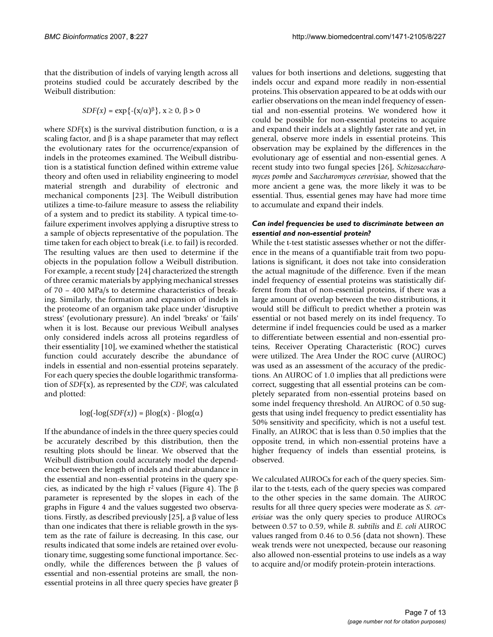that the distribution of indels of varying length across all proteins studied could be accurately described by the Weibull distribution:

$$
SDF(x) = \exp\left\{-\left(\frac{x}{\alpha}\right)^{\beta}\right\}, x \ge 0, \beta > 0
$$

where *SDF*(x) is the survival distribution function,  $\alpha$  is a scaling factor, and  $\beta$  is a shape parameter that may reflect the evolutionary rates for the occurrence/expansion of indels in the proteomes examined. The Weibull distribution is a statistical function defined within extreme value theory and often used in reliability engineering to model material strength and durability of electronic and mechanical components [23]. The Weibull distribution utilizes a time-to-failure measure to assess the reliability of a system and to predict its stability. A typical time-tofailure experiment involves applying a disruptive stress to a sample of objects representative of the population. The time taken for each object to break (i.e. to fail) is recorded. The resulting values are then used to determine if the objects in the population follow a Weibull distribution. For example, a recent study [24] characterized the strength of three ceramic materials by applying mechanical stresses of 70 – 400 MPa/s to determine characteristics of breaking. Similarly, the formation and expansion of indels in the proteome of an organism take place under 'disruptive stress' (evolutionary pressure). An indel 'breaks' or 'fails' when it is lost. Because our previous Weibull analyses only considered indels across all proteins regardless of their essentiality [10], we examined whether the statistical function could accurately describe the abundance of indels in essential and non-essential proteins separately. For each query species the double logarithmic transformation of *SDF*(x), as represented by the *CDF*, was calculated and plotted:

log(-log(*SDF(x)*) = βlog(x) - βlog(α)

If the abundance of indels in the three query species could be accurately described by this distribution, then the resulting plots should be linear. We observed that the Weibull distribution could accurately model the dependence between the length of indels and their abundance in the essential and non-essential proteins in the query species, as indicated by the high r<sup>2</sup> values (Figure 4). The  $\beta$ parameter is represented by the slopes in each of the graphs in Figure 4 and the values suggested two observations. Firstly, as described previously [25], a β value of less than one indicates that there is reliable growth in the system as the rate of failure is decreasing. In this case, our results indicated that some indels are retained over evolutionary time, suggesting some functional importance. Secondly, while the differences between the β values of essential and non-essential proteins are small, the nonessential proteins in all three query species have greater β

values for both insertions and deletions, suggesting that indels occur and expand more readily in non-essential proteins. This observation appeared to be at odds with our earlier observations on the mean indel frequency of essential and non-essential proteins. We wondered how it could be possible for non-essential proteins to acquire and expand their indels at a slightly faster rate and yet, in general, observe more indels in essential proteins. This observation may be explained by the differences in the evolutionary age of essential and non-essential genes. A recent study into two fungal species [26], *Schizosaccharomyces pombe* and *Saccharomyces cerevisiae*, showed that the more ancient a gene was, the more likely it was to be essential. Thus, essential genes may have had more time to accumulate and expand their indels.

#### *Can indel frequencies be used to discriminate between an essential and non-essential protein?*

While the t-test statistic assesses whether or not the difference in the means of a quantifiable trait from two populations is significant, it does not take into consideration the actual magnitude of the difference. Even if the mean indel frequency of essential proteins was statistically different from that of non-essential proteins, if there was a large amount of overlap between the two distributions, it would still be difficult to predict whether a protein was essential or not based merely on its indel frequency. To determine if indel frequencies could be used as a marker to differentiate between essential and non-essential proteins, Receiver Operating Characteristic (ROC) curves were utilized. The Area Under the ROC curve (AUROC) was used as an assessment of the accuracy of the predictions. An AUROC of 1.0 implies that all predictions were correct, suggesting that all essential proteins can be completely separated from non-essential proteins based on some indel frequency threshold. An AUROC of 0.50 suggests that using indel frequency to predict essentiality has 50% sensitivity and specificity, which is not a useful test. Finally, an AUROC that is less than 0.50 implies that the opposite trend, in which non-essential proteins have a higher frequency of indels than essential proteins, is observed.

We calculated AUROCs for each of the query species. Similar to the t-tests, each of the query species was compared to the other species in the same domain. The AUROC results for all three query species were moderate as *S. cerevisiae* was the only query species to produce AUROCs between 0.57 to 0.59, while *B. subtilis* and *E. coli* AUROC values ranged from 0.46 to 0.56 (data not shown). These weak trends were not unexpected, because our reasoning also allowed non-essential proteins to use indels as a way to acquire and/or modify protein-protein interactions.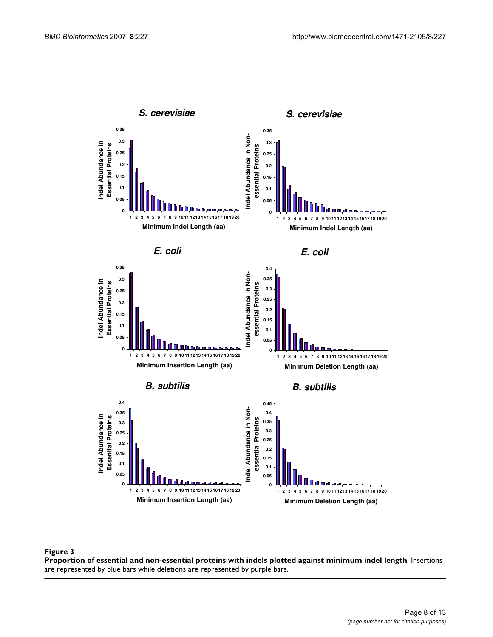

### Proportion of essential and non- **Figure 3** essential proteins with indels plotted against minimum indel length **Proportion of essential and non-essential proteins with indels plotted against minimum indel length**. Insertions are represented by blue bars while deletions are represented by purple bars.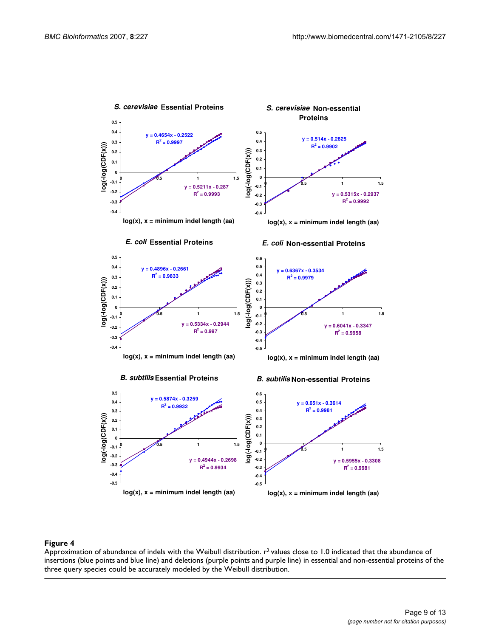

#### Figure 4

Approximation of abundance of indels with the Weibull distribution.  $r^2$  values close to 1.0 indicated that the abundance of insertions (blue points and blue line) and deletions (purple points and purple line) in essential and non-essential proteins of the three query species could be accurately modeled by the Weibull distribution.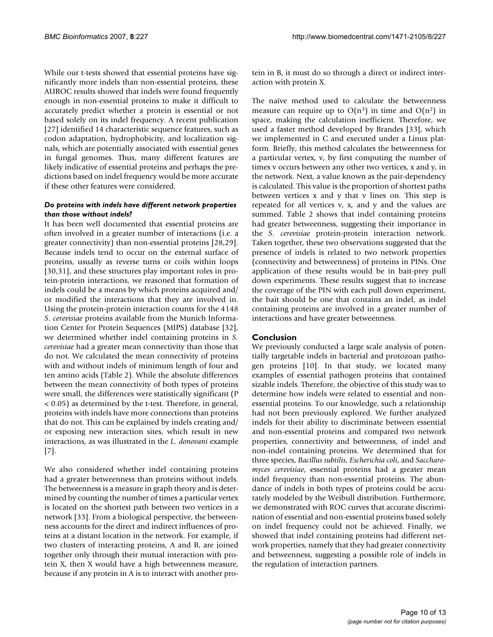While our t-tests showed that essential proteins have significantly more indels than non-essential proteins, these AUROC results showed that indels were found frequently enough in non-essential proteins to make it difficult to accurately predict whether a protein is essential or not based solely on its indel frequency. A recent publication [27] identified 14 characteristic sequence features, such as codon adaptation, hydrophobicity, and localization signals, which are potentially associated with essential genes in fungal genomes. Thus, many different features are likely indicative of essential proteins and perhaps the predictions based on indel frequency would be more accurate if these other features were considered.

#### *Do proteins with indels have different network properties than those without indels?*

It has been well documented that essential proteins are often involved in a greater number of interactions (i.e. a greater connectivity) than non-essential proteins [28,29]. Because indels tend to occur on the external surface of proteins, usually as reverse turns or coils within loops [30,31], and these structures play important roles in protein-protein interactions, we reasoned that formation of indels could be a means by which proteins acquired and/ or modified the interactions that they are involved in. Using the protein-protein interaction counts for the 4148 *S. cerevisiae* proteins available from the Munich Information Center for Protein Sequences (MIPS) database [32], we determined whether indel containing proteins in *S. cerevisiae* had a greater mean connectivity than those that do not. We calculated the mean connectivity of proteins with and without indels of minimum length of four and ten amino acids (Table 2). While the absolute differences between the mean connectivity of both types of proteins were small, the differences were statistically significant (P < 0.05) as determined by the t-test. Therefore, in general, proteins with indels have more connections than proteins that do not. This can be explained by indels creating and/ or exposing new interaction sites, which result in new interactions, as was illustrated in the *L. donovani* example [7].

We also considered whether indel containing proteins had a greater betweenness than proteins without indels. The betweenness is a measure in graph theory and is determined by counting the number of times a particular vertex is located on the shortest path between two vertices in a network [33]. From a biological perspective, the betweenness accounts for the direct and indirect influences of proteins at a distant location in the network. For example, if two clusters of interacting proteins, A and B, are joined together only through their mutual interaction with protein X, then X would have a high betweenness measure, because if any protein in A is to interact with another protein in B, it must do so through a direct or indirect interaction with protein X.

The naïve method used to calculate the betweenness measure can require up to  $O(n^3)$  in time and  $O(n^2)$  in space, making the calculation inefficient. Therefore, we used a faster method developed by Brandes [33], which we implemented in C and executed under a Linux platform. Briefly, this method calculates the betweenness for a particular vertex, v, by first computing the number of times v occurs between any other two vertices, x and y, in the network. Next, a value known as the pair-dependency is calculated. This value is the proportion of shortest paths between vertices x and y that v lines on. This step is repeated for all vertices v, x, and y and the values are summed. Table 2 shows that indel containing proteins had greater betweenness, suggesting their importance in the *S. cerevisiae* protein-protein interaction network. Taken together, these two observations suggested that the presence of indels is related to two network properties (connectivity and betweenness) of proteins in PINs. One application of these results would be in bait-prey pull down experiments. These results suggest that to increase the coverage of the PIN with each pull down experiment, the bait should be one that contains an indel, as indel containing proteins are involved in a greater number of interactions and have greater betweenness.

#### **Conclusion**

We previously conducted a large scale analysis of potentially targetable indels in bacterial and protozoan pathogen proteins [10]. In that study, we located many examples of essential pathogen proteins that contained sizable indels. Therefore, the objective of this study was to determine how indels were related to essential and nonessential proteins. To our knowledge, such a relationship had not been previously explored. We further analyzed indels for their ability to discriminate between essential and non-essential proteins and compared two network properties, connectivity and betweenness, of indel and non-indel containing proteins. We determined that for three species, *Bacillus subtilis, Escherichia coli*, and *Saccharomyces cerevisiae*, essential proteins had a greater mean indel frequency than non-essential proteins. The abundance of indels in both types of proteins could be accurately modeled by the Weibull distribution. Furthermore, we demonstrated with ROC curves that accurate discrimination of essential and non-essential proteins based solely on indel frequency could not be achieved. Finally, we showed that indel containing proteins had different network properties, namely that they had greater connectivity and betweenness, suggesting a possible role of indels in the regulation of interaction partners.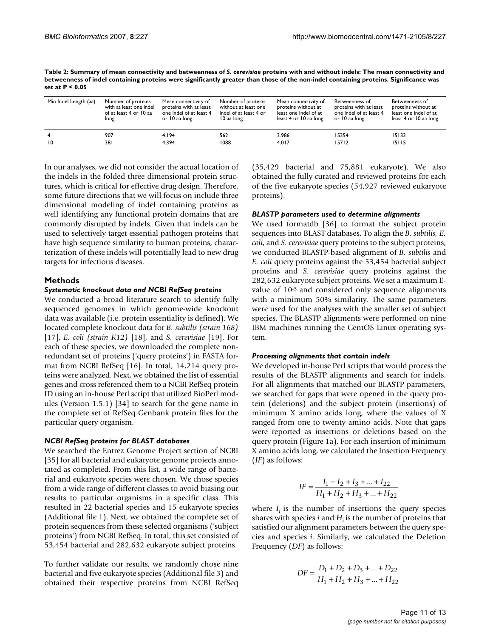| Min Indel Length (aa) | Number of proteins<br>with at least one indel<br>of at least 4 or 10 aa<br>long | Mean connectivity of<br>proteins with at least<br>one indel of at least 4<br>or 10 aa long | Number of proteins<br>without at least one<br>indel of at least 4 or<br>10 aa long | Mean connectivity of<br>proteins without at<br>least one indel of at<br>least 4 or 10 aa long | Betweenness of<br>proteins with at least<br>one indel of at least 4<br>or 10 aa long | Betweenness of<br>proteins without at<br>least one indel of at<br>least 4 or 10 aa long |
|-----------------------|---------------------------------------------------------------------------------|--------------------------------------------------------------------------------------------|------------------------------------------------------------------------------------|-----------------------------------------------------------------------------------------------|--------------------------------------------------------------------------------------|-----------------------------------------------------------------------------------------|
|                       | 907                                                                             | 4.194                                                                                      | 562                                                                                | 3.986                                                                                         | 15354                                                                                | 15133                                                                                   |
| 10                    | 381                                                                             | 4.394                                                                                      | 1088                                                                               | 4.017                                                                                         | 15712                                                                                | 15115                                                                                   |

**Table 2: Summary of mean connectivity and betweenness of** *S. cerevisiae* **proteins with and without indels: The mean connectivity and betweenness of indel containing proteins were significantly greater than those of the non-indel containing proteins. Significance was set at P < 0.05**

In our analyses, we did not consider the actual location of the indels in the folded three dimensional protein structures, which is critical for effective drug design. Therefore, some future directions that we will focus on include three dimensional modeling of indel containing proteins as well identifying any functional protein domains that are commonly disrupted by indels. Given that indels can be used to selectively target essential pathogen proteins that have high sequence similarity to human proteins, characterization of these indels will potentially lead to new drug targets for infectious diseases.

#### **Methods**

#### *Systematic knockout data and NCBI RefSeq proteins*

We conducted a broad literature search to identify fully sequenced genomes in which genome-wide knockout data was available (i.e. protein essentiality is defined). We located complete knockout data for *B. subtilis (strain 168)* [17], *E. coli (strain K12)* [18], and *S. cerevisiae* [19]. For each of these species, we downloaded the complete nonredundant set of proteins ('query proteins') in FASTA format from NCBI RefSeq [16]. In total, 14,214 query proteins were analyzed. Next, we obtained the list of essential genes and cross referenced them to a NCBI RefSeq protein ID using an in-house Perl script that utilized BioPerl modules (Version 1.5.1) [34] to search for the gene name in the complete set of RefSeq Genbank protein files for the particular query organism.

#### *NCBI RefSeq proteins for BLAST databases*

We searched the Entrez Genome Project section of NCBI [35] for all bacterial and eukaryote genome projects annotated as completed. From this list, a wide range of bacterial and eukaryote species were chosen. We chose species from a wide range of different classes to avoid biasing our results to particular organisms in a specific class. This resulted in 22 bacterial species and 15 eukaryote species (Additional file 1). Next, we obtained the complete set of protein sequences from these selected organisms ('subject proteins') from NCBI RefSeq. In total, this set consisted of 53,454 bacterial and 282,632 eukaryote subject proteins.

To further validate our results, we randomly chose nine bacterial and five eukaryote species (Additional file 3) and obtained their respective proteins from NCBI RefSeq (35,429 bacterial and 75,881 eukaryote). We also obtained the fully curated and reviewed proteins for each of the five eukaryote species (54,927 reviewed eukaryote proteins).

#### *BLASTP parameters used to determine alignments*

We used formatdb [36] to format the subject protein sequences into BLAST databases. To align the *B. subtilis, E. coli*, and *S. cerevisiae* query proteins to the subject proteins, we conducted BLASTP-based alignment of *B. subtilis* and *E. coli* query proteins against the 53,454 bacterial subject proteins and *S. cerevisiae* query proteins against the 282,632 eukaryote subject proteins. We set a maximum Evalue of 10-5 and considered only sequence alignments with a minimum 50% similarity. The same parameters were used for the analyses with the smaller set of subject species. The BLASTP alignments were performed on nine IBM machines running the CentOS Linux operating system.

#### *Processing alignments that contain indels*

We developed in-house Perl scripts that would process the results of the BLASTP alignments and search for indels. For all alignments that matched our BLASTP parameters, we searched for gaps that were opened in the query protein (deletions) and the subject protein (insertions) of minimum X amino acids long, where the values of X ranged from one to twenty amino acids. Note that gaps were reported as insertions or deletions based on the query protein (Figure 1a). For each insertion of minimum X amino acids long, we calculated the Insertion Frequency (*IF*) as follows:

$$
IF = \frac{I_1 + I_2 + I_3 + \dots + I_{22}}{H_1 + H_2 + H_3 + \dots + H_{22}}
$$

where  $I_i$  is the number of insertions the query species shares with species *i* and *Hi* is the number of proteins that satisfied our alignment parameters between the query species and species *i*. Similarly, we calculated the Deletion Frequency (*DF*) as follows:

$$
DF = \frac{D_1 + D_2 + D_3 + \dots + D_{22}}{H_1 + H_2 + H_3 + \dots + H_{22}}
$$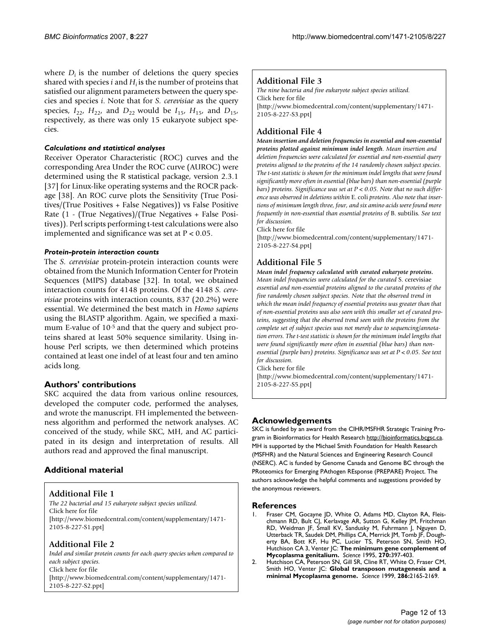where  $D_i$  is the number of deletions the query species shared with species *i* and *Hi* is the number of proteins that satisfied our alignment parameters between the query species and species *i*. Note that for *S. cerevisiae* as the query species,  $I_{22}$ ,  $H_{22}$ , and  $D_{22}$  would be  $I_{15}$ ,  $H_{15}$ , and  $D_{15}$ , respectively, as there was only 15 eukaryote subject species.

#### *Calculations and statistical analyses*

Receiver Operator Characteristic (ROC) curves and the corresponding Area Under the ROC curve (AUROC) were determined using the R statistical package, version 2.3.1 [37] for Linux-like operating systems and the ROCR package [38]. An ROC curve plots the Sensitivity (True Positives/(True Positives + False Negatives)) vs False Positive Rate (1 - (True Negatives)/(True Negatives + False Positives)). Perl scripts performing t-test calculations were also implemented and significance was set at P < 0.05.

#### *Protein-protein interaction counts*

The *S. cerevisiae* protein-protein interaction counts were obtained from the Munich Information Center for Protein Sequences (MIPS) database [32]. In total, we obtained interaction counts for 4148 proteins. Of the 4148 *S. cerevisiae* proteins with interaction counts, 837 (20.2%) were essential. We determined the best match in *Homo sapiens* using the BLASTP algorithm. Again, we specified a maximum E-value of 10-5 and that the query and subject proteins shared at least 50% sequence similarity. Using inhouse Perl scripts, we then determined which proteins contained at least one indel of at least four and ten amino acids long.

#### **Authors' contributions**

SKC acquired the data from various online resources, developed the computer code, performed the analyses, and wrote the manuscript. FH implemented the betweenness algorithm and performed the network analyses. AC conceived of the study, while SKC, MH, and AC participated in its design and interpretation of results. All authors read and approved the final manuscript.

## **Additional material**

#### **Additional File 1**

*The 22 bacterial and 15 eukaryote subject species utilized.* Click here for file [\[http://www.biomedcentral.com/content/supplementary/1471-](http://www.biomedcentral.com/content/supplementary/1471-2105-8-227-S1.ppt) 2105-8-227-S1.ppt]

## **Additional File 2**

*Indel and similar protein counts for each query species when compared to each subject species.* Click here for file [\[http://www.biomedcentral.com/content/supplementary/1471-](http://www.biomedcentral.com/content/supplementary/1471-2105-8-227-S2.ppt) 2105-8-227-S2.ppt]

## **Additional File 3**

*The nine bacteria and five eukaryote subject species utilized.* Click here for file [\[http://www.biomedcentral.com/content/supplementary/1471-](http://www.biomedcentral.com/content/supplementary/1471-2105-8-227-S3.ppt) 2105-8-227-S3.ppt]

## **Additional File 4**

*Mean insertion and deletion frequencies in essential and non-essential proteins plotted against minimum indel length. Mean insertion and deletion frequencies were calculated for essential and non-essential query proteins aligned to the proteins of the 14 randomly chosen subject species. The t-test statistic is shown for the minimum indel lengths that were found significantly more often in essential (blue bars) than non-essential (purple bars) proteins. Significance was set at P < 0.05. Note that no such difference was observed in deletions within* E. coli *proteins. Also note that insertions of minimum length three, four, and six amino acids were found more frequently in non-essential than essential proteins of* B. subtilis*. See text for discussion.*

Click here for file

[\[http://www.biomedcentral.com/content/supplementary/1471-](http://www.biomedcentral.com/content/supplementary/1471-2105-8-227-S4.ppt) 2105-8-227-S4.ppt]

## **Additional File 5**

*Mean indel frequency calculated with curated eukaryote proteins. Mean indel frequencies were calculated for the curated* S. cerevisiae *essential and non-essential proteins aligned to the curated proteins of the five randomly chosen subject species. Note that the observed trend in which the mean indel frequency of essential proteins was greater than that of non-essential proteins was also seen with this smaller set of curated proteins, suggesting that the observed trend seen with the proteins from the complete set of subject species was not merely due to sequencing/annotation errors. The t-test statistic is shown for the minimum indel lengths that were found significantly more often in essential (blue bars) than nonessential (purple bars) proteins. Significance was set at P < 0.05. See text for discussion.*

Click here for file

[\[http://www.biomedcentral.com/content/supplementary/1471-](http://www.biomedcentral.com/content/supplementary/1471-2105-8-227-S5.ppt) 2105-8-227-S5.ppt]

## **Acknowledgements**

SKC is funded by an award from the CIHR/MSFHR Strategic Training Program in Bioinformatics for Health Research <http://bioinformatics.bcgsc.ca>. MH is supported by the Michael Smith Foundation for Health Research (MSFHR) and the Natural Sciences and Engineering Research Council (NSERC). AC is funded by Genome Canada and Genome BC through the PRoteomics for Emerging PAthogen REsponse (PREPARE) Project. The authors acknowledge the helpful comments and suggestions provided by the anonymous reviewers.

#### **References**

- 1. Fraser CM, Gocayne JD, White O, Adams MD, Clayton RA, Fleischmann RD, Bult CJ, Kerlavage AR, Sutton G, Kelley JM, Fritchman RD, Weidman JF, Small KV, Sandusky M, Fuhrmann J, Nguyen D, Utterback TR, Saudek DM, Phillips CA, Merrick JM, Tomb JF, Dougherty BA, Bott KF, Hu PC, Lucier TS, Peterson SN, Smith HO, Hutchison CA 3, Venter JC: **[The minimum gene complement of](http://www.ncbi.nlm.nih.gov/entrez/query.fcgi?cmd=Retrieve&db=PubMed&dopt=Abstract&list_uids=7569993) [Mycoplasma genitalium.](http://www.ncbi.nlm.nih.gov/entrez/query.fcgi?cmd=Retrieve&db=PubMed&dopt=Abstract&list_uids=7569993)** *Science* 1995, **270:**397-403.
- 2. Hutchison CA, Peterson SN, Gill SR, Cline RT, White O, Fraser CM, Smith HO, Venter JC: **[Global transposon mutagenesis and a](http://www.ncbi.nlm.nih.gov/entrez/query.fcgi?cmd=Retrieve&db=PubMed&dopt=Abstract&list_uids=10591650) [minimal Mycoplasma genome.](http://www.ncbi.nlm.nih.gov/entrez/query.fcgi?cmd=Retrieve&db=PubMed&dopt=Abstract&list_uids=10591650)** *Science* 1999, **286:**2165-2169.